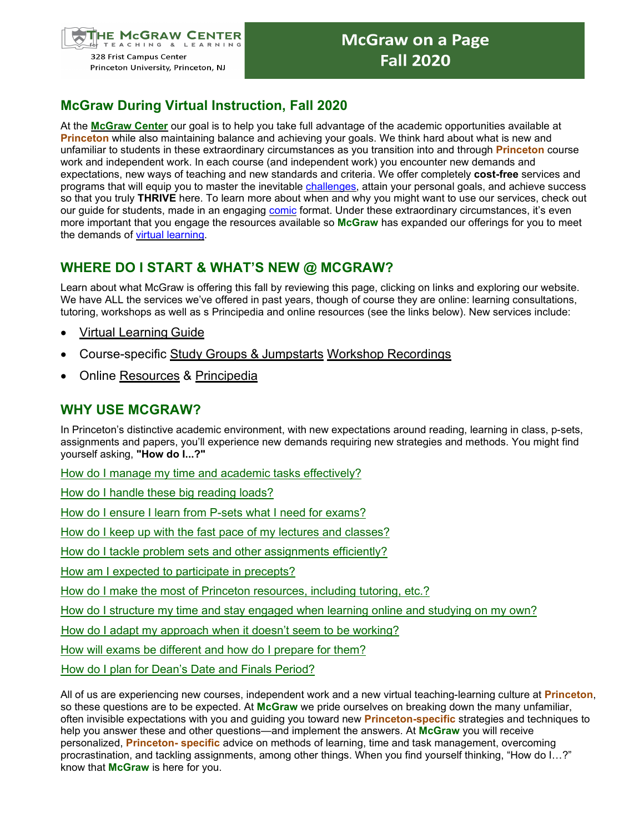

# **McGraw During Virtual Instruction, Fall 2020**

At the **[McGraw Center](https://mcgraw.princeton.edu/undergraduates)** our goal is to help you take full advantage of the academic opportunities available at **Princeton** while also maintaining balance and achieving your goals. We think hard about what is new and unfamiliar to students in these extraordinary circumstances as you transition into and through **Princeton** course work and independent work. In each course (and independent work) you encounter new demands and expectations, new ways of teaching and new standards and criteria. We offer completely **cost-free** services and programs that will equip you to master the inevitable [challenges, a](https://mcgraw.princeton.edu/node/3011)ttain your personal goals, and achieve success so that you truly **THRIVE** here. To learn more about when and why you might want to use our services, check out our quide for students, made in an engaging [comic](https://mcgraw.princeton.edu/sites/mcgraw/files/wonderful-world-of-mcgraw.pdf) format. Under these extraordinary circumstances, it's even more important that you engage the resources available so **McGraw** has expanded our offerings for you to meet the demands of [virtual learning.](https://mcgraw.princeton.edu/engaging-and-learning-online-undergraduates)

### **WHERE DO I START & WHAT'S NEW @ MCGRAW?**

Learn about what McGraw is offering this fall by reviewing this page, clicking on links and exploring our website. We have ALL the services we've offered in past years, though of course they are online: learning consultations, tutoring, workshops as well as s Principedia and online resources (see the links below). New services include:

- [Virtual Learning](https://mcgraw.princeton.edu/engaging-and-learning-online-undergraduates) Guide
- **Course-specific [Study Groups &](https://mcgraw.princeton.edu/undergraduates/study-groups-and-jumpstarts) Jumpstarts Workshop [Recordings](https://mcgraw.princeton.edu/undergraduates/academic-strategies-workshops)**
- Online [Resources](https://mcgraw.princeton.edu/undergraduates/resources-handouts-and-advice-undergraduates) & [Principedia](http://principedia.princeton.edu/)

#### **WHY USE MCGRAW?**

In Princeton's distinctive academic environment, with new expectations around reading, learning in class, p-sets, assignments and papers, you'll experience new demands requiring new strategies and methods. You might find yourself asking, **"How do I...?"**

[How do I manage my time and academic tasks effectively?](https://mcgraw.princeton.edu/undergraduates/academic-strategies-workshops?trumbaEmbed=view%3Devent%26eventid%3D146937507)

[How do I handle these big reading loads?](https://mcgraw.princeton.edu/undergraduates/academic-strategies-workshops?trumbaEmbed=view%3Devent%26eventid%3D146937592)

[How do I ensure I learn from P-sets what I need for exams?](https://mcgraw.princeton.edu/undergraduates/academic-strategies-workshops?trumbaEmbed=view%3Devent%26eventid%3D146937685)

[How do I keep up with the fast pace of my lectures and classes?](https://mcgraw.princeton.edu/undergraduates/academic-strategies-workshops?trumbaEmbed=view%3Devent%26eventid%3D146937638)

[How do I tackle problem sets and other assignments efficiently?](https://mcgraw.princeton.edu/undergraduates/academic-strategies-workshops?trumbaEmbed=view%3Devent%26eventid%3D146937685)

[How am I expected to participate in precepts?](https://mcgraw.princeton.edu/sites/mcgraw/files/media/preparing-for-precepts-seminars-and-other-discussion-based-classes.pdf)

How do I make the most of [Princeton resources,](https://mcgraw.princeton.edu/learning-support-network) including [tutoring,](https://mcgraw.princeton.edu/node/566) etc.?

[How do I structure my time and stay engaged when learning online and studying](https://mcgraw.princeton.edu/undergraduates/academic-strategies-workshops?trumbaEmbed=view%3Devent%26eventid%3D146937502) [on my own?](https://mcgraw.princeton.edu/undergraduates/academic-strategies-workshops?trumbaEmbed=view%3Devent%26eventid%3D146937502)

[How do I adapt my approach when it doesn't seem to be working?](https://mcgraw.princeton.edu/undergraduates/academic-strategies-workshops?trumbaEmbed=view%3Devent%26eventid%3D146937903)

[How will exams be different and how do I prepare for them?](https://mcgraw.princeton.edu/undergraduates/academic-strategies-workshops?trumbaEmbed=view%3Devent%26eventid%3D146937665)

[How do I plan for Dean's Date and Finals Period?](https://mcgraw.princeton.edu/undergraduates/academic-strategies-workshops?trumbaEmbed=view%3Devent%26eventid%3D146937946)

All of us are experiencing new courses, independent work and a new virtual teaching-learning culture at **Princeton**, so these questions are to be expected. At **McGraw** we pride ourselves on breaking down the many unfamiliar, often invisible expectations with you and guiding you toward new **Princeton-specific** strategies and techniques to help you answer these and other questions—and implement the answers. At **McGraw** you will receive personalized, **Princeton- specific** advice on methods of learning, time and task management, overcoming procrastination, and tackling assignments, among other things. When you find yourself thinking, "How do I…?" know that **McGraw** is here for you.